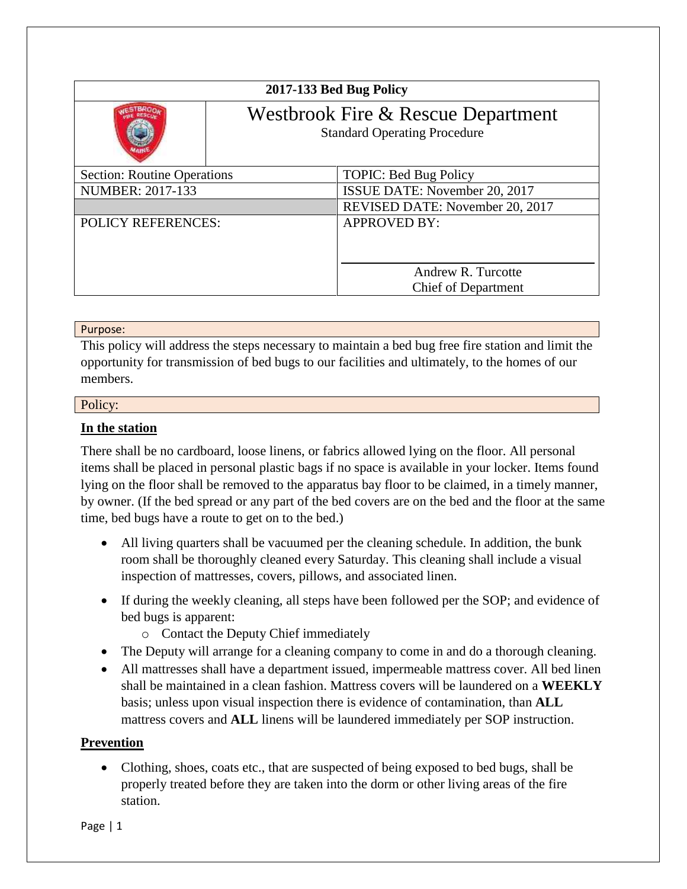| 2017-133 Bed Bug Policy            |                                                                           |                                                  |
|------------------------------------|---------------------------------------------------------------------------|--------------------------------------------------|
|                                    | Westbrook Fire & Rescue Department<br><b>Standard Operating Procedure</b> |                                                  |
| <b>Section: Routine Operations</b> |                                                                           | <b>TOPIC: Bed Bug Policy</b>                     |
| <b>NUMBER: 2017-133</b>            |                                                                           | ISSUE DATE: November 20, 2017                    |
|                                    |                                                                           | REVISED DATE: November 20, 2017                  |
| <b>POLICY REFERENCES:</b>          |                                                                           | <b>APPROVED BY:</b>                              |
|                                    |                                                                           | Andrew R. Turcotte<br><b>Chief of Department</b> |

### Purpose:

This policy will address the steps necessary to maintain a bed bug free fire station and limit the opportunity for transmission of bed bugs to our facilities and ultimately, to the homes of our members.

### Policy:

## **In the station**

There shall be no cardboard, loose linens, or fabrics allowed lying on the floor. All personal items shall be placed in personal plastic bags if no space is available in your locker. Items found lying on the floor shall be removed to the apparatus bay floor to be claimed, in a timely manner, by owner. (If the bed spread or any part of the bed covers are on the bed and the floor at the same time, bed bugs have a route to get on to the bed.)

- All living quarters shall be vacuumed per the cleaning schedule. In addition, the bunk room shall be thoroughly cleaned every Saturday. This cleaning shall include a visual inspection of mattresses, covers, pillows, and associated linen.
- If during the weekly cleaning, all steps have been followed per the SOP; and evidence of bed bugs is apparent:
	- o Contact the Deputy Chief immediately
- The Deputy will arrange for a cleaning company to come in and do a thorough cleaning.
- All mattresses shall have a department issued, impermeable mattress cover. All bed linen shall be maintained in a clean fashion. Mattress covers will be laundered on a **WEEKLY** basis; unless upon visual inspection there is evidence of contamination, than **ALL** mattress covers and **ALL** linens will be laundered immediately per SOP instruction.

# **Prevention**

• Clothing, shoes, coats etc., that are suspected of being exposed to bed bugs, shall be properly treated before they are taken into the dorm or other living areas of the fire station.

Page | 1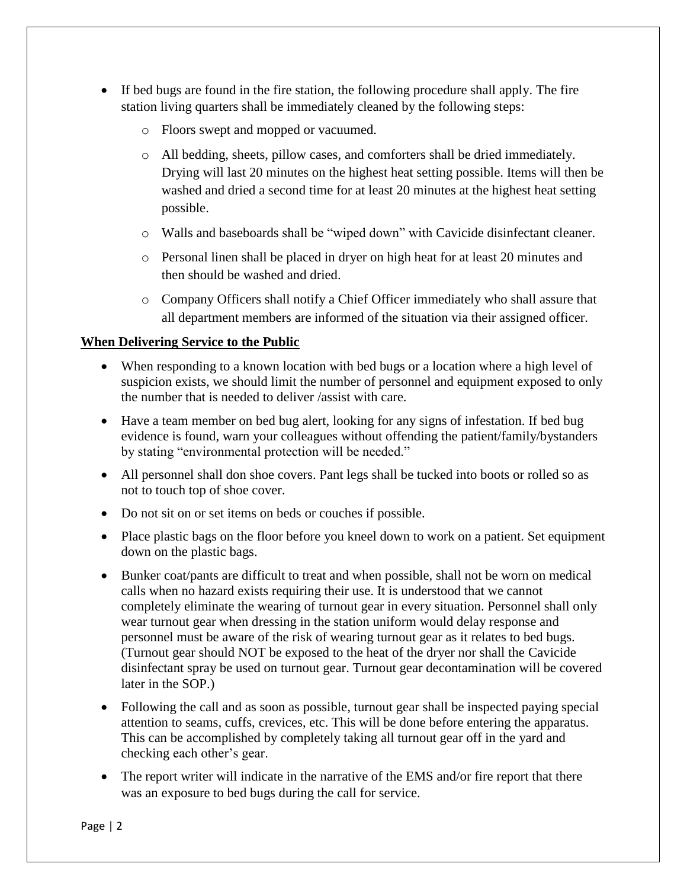- If bed bugs are found in the fire station, the following procedure shall apply. The fire station living quarters shall be immediately cleaned by the following steps:
	- o Floors swept and mopped or vacuumed.
	- o All bedding, sheets, pillow cases, and comforters shall be dried immediately. Drying will last 20 minutes on the highest heat setting possible. Items will then be washed and dried a second time for at least 20 minutes at the highest heat setting possible.
	- o Walls and baseboards shall be "wiped down" with Cavicide disinfectant cleaner.
	- o Personal linen shall be placed in dryer on high heat for at least 20 minutes and then should be washed and dried.
	- o Company Officers shall notify a Chief Officer immediately who shall assure that all department members are informed of the situation via their assigned officer.

# **When Delivering Service to the Public**

- When responding to a known location with bed bugs or a location where a high level of suspicion exists, we should limit the number of personnel and equipment exposed to only the number that is needed to deliver /assist with care.
- Have a team member on bed bug alert, looking for any signs of infestation. If bed bug evidence is found, warn your colleagues without offending the patient/family/bystanders by stating "environmental protection will be needed."
- All personnel shall don shoe covers. Pant legs shall be tucked into boots or rolled so as not to touch top of shoe cover.
- Do not sit on or set items on beds or couches if possible.
- Place plastic bags on the floor before you kneel down to work on a patient. Set equipment down on the plastic bags.
- Bunker coat/pants are difficult to treat and when possible, shall not be worn on medical calls when no hazard exists requiring their use. It is understood that we cannot completely eliminate the wearing of turnout gear in every situation. Personnel shall only wear turnout gear when dressing in the station uniform would delay response and personnel must be aware of the risk of wearing turnout gear as it relates to bed bugs. (Turnout gear should NOT be exposed to the heat of the dryer nor shall the Cavicide disinfectant spray be used on turnout gear. Turnout gear decontamination will be covered later in the SOP.)
- Following the call and as soon as possible, turnout gear shall be inspected paying special attention to seams, cuffs, crevices, etc. This will be done before entering the apparatus. This can be accomplished by completely taking all turnout gear off in the yard and checking each other's gear.
- The report writer will indicate in the narrative of the EMS and/or fire report that there was an exposure to bed bugs during the call for service.

Page | 2